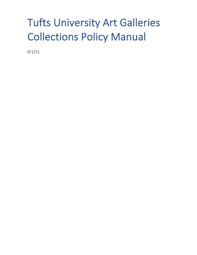# Tufts University Art Galleries Collections Policy Manual

9/1/21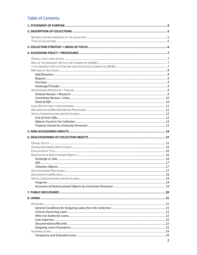# **Table of Contents**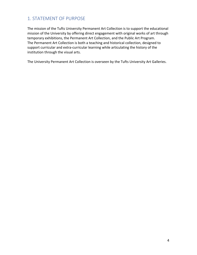# 1. STATEMENT OF PURPOSE

The mission of the Tufts University Permanent Art Collection is to support the educational mission of the University by offering direct engagement with original works of art through temporary exhibitions, the Permanent Art Collection, and the Public Art Program. The Permanent Art Collection is both a teaching and historical collection, designed to support curricular and extra-curricular learning while articulating the history of the institution through the visual arts.

The University Permanent Art Collection is overseen by the Tufts University Art Galleries.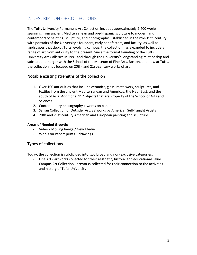# 2. DESCRIPTION OF COLLECTIONS

The Tufts University Permanent Art Collection includes approximately 2,400 works spanning from ancient Mediterranean and pre-Hispanic sculpture to modern and contemporary painting, sculpture, and photography. Established in the mid-19th century with portraits of the University's founders, early benefactors, and faculty, as well as landscapes that depict Tufts' evolving campus, the collection has expanded to include a range of art from antiquity to the present. Since the formal founding of the Tufts University Art Galleries in 1991 and through the University's longstanding relationship and subsequent merger with the School of the Museum of Fine Arts, Boston, and now at Tufts, the collection has focused on 20th- and 21st-century works of art.

# Notable existing strengths of the collection

- 1. Over 100 antiquities that include ceramics, glass, metalwork, sculptures, and textiles from the ancient Mediterranean and Americas, the Near East, and the south of Asia. Additional 112 objects that are Property of the School of Arts and Sciences.
- 2. Contemporary photography + works on paper
- 3. Safran Collection of Outsider Art: 38 works by American Self-Taught Artists
- 4. 20th and 21st century American and European painting and sculpture

### **Areas of Needed Growth:**

- Video / Moving Image / New Media
- Works on Paper: prints + drawings

# Types of collections

Today, the collection is subdivided into two broad and non-exclusive categories:

- Fine Art artworks collected for their aesthetic, historic and educational value
- Campus Art Collection artworks collected for their connection to the activities and history of Tufts University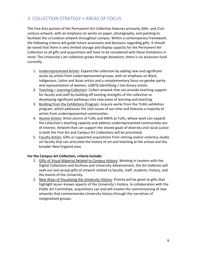# 3. COLLECTION STRATEGY + AREAS OF FOCUS

The Fine Arts portion of the Permanent Art Collection features primarily 20th- and 21stcentury artwork, with an emphasis on works on paper, photography, and painting to facilitate the circulation artwork throughout campus. Within a contemporary framework, the following criteria will guide future accessions and decisions regarding gifts. It should be noted that there is very limited storage and display capacity for the Permanent Art Collection so all gifts and acquisitions will have to be considered with these limitations in mind. The University's art collection grows through donations; there is no accession fund currently.

- 1. Underrepresented Artists: Expand the collection by adding new and significant works by artists from underrepresented groups, with an emphasis on Black, Indigenous, Latinx and Asian artists and a complementary focus on gender parity and representation of women, LGBTQ-identifying / non-binary artists.
- 2. Teaching + Learning Collection: Collect artwork that can provide teaching support for faculty and staff by building off existing strengths of the collection or developing significant pathways into new areas of learning and teaching.
- 3. Building from the Exhibitions Program: Acquire works from the TUAG exhibition program, which addresses the vital issues of our time and features a majority of artists from underrepresented communities.
- 4. Alumni Artists: Artist alumni of Tufts and SMFA at Tufts, whose work can expand the collection's teaching capacity and address underrepresented communities are of interest. Artwork that can support the shared goals of diversity and racial justice in both the Fine Art and Campus Art Collections will be prioritized.
- 5. Faculty Artists: Gifts or supported acquisitions from retiring and/or emeritus studio art faculty that can articulate the history of art and teaching at the school and the broader New England area.

### **For the Campus Art Collection, criteria include:**

- 1. Gifts of Visual Material Related to Campus History: Working in tandem with the Digital Collections and Archives and University Advancement, the Art Galleries will seek out and accept gifts of artwork related to faculty, staff, students, history, and the events of the University.
- 2. New Ways of Visualizing the University History: Priority will be given to gifts that highlight lesser-known aspects of the University's history. In collaboration with the Public Art Committee, acquisitions can and will involve the commissioning of new artworks that commemorate University history through the narratives of marginalized groups.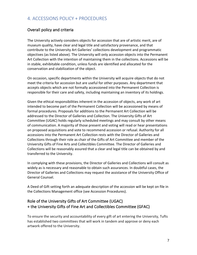# 4. ACCESSIONS POLICY + PROCEDURES

# Overall policy and criteria

The University actively considers objects for accession that are of artistic merit, are of museum quality, have clear and legal title and satisfactory provenance, and that contribute to the University Art Galleries' collections development and programmatic objectives (as listed above). The University will only accession objects into the Permanent Art Collection with the intention of maintaining them in the collections. Accessions will be in stable, exhibitable condition, unless funds are identified and allocated for the conservation and stabilization of the object.

On occasion, specific departments within the University will acquire objects that do not meet the criteria for accession but are useful for other purposes. Any department that accepts objects which are not formally accessioned into the Permanent Collection is responsible for their care and safety, including maintaining an inventory of its holdings.

Given the ethical responsibilities inherent in the accession of objects, any work of art intended to become part of the Permanent Collection will be accessioned by means of formal procedures. Proposals for additions to the Permanent Art Collection will be addressed to the Director of Galleries and Collection. The University Gifts of Art Committee (UGAC) holds regularly scheduled meetings and may consult by other means of communication. A majority of those present and voting will read or hear presentations on proposed acquisitions and vote to recommend accession or refusal. Authority for all accessions into the Permanent Art Collection rests with the Director of Galleries and Collections through their role as chair of the Gifts of Art Committee and member of the University Gifts of Fine Arts and Collectibles Committee. The Director of Galleries and Collections will be reasonably assured that a clear and legal title can be obtained by and transferred to the University.

In complying with these provisions, the Director of Galleries and Collections will consult as widely as is necessary and reasonable to obtain such assurances. In doubtful cases, the Director of Galleries and Collections may request the assistance of the University Office of General Counsel.

A Deed of Gift setting forth an adequate description of the accession will be kept on file in the Collections Management office (see Accession Procedures).

# Role of the University Gifts of Art Committee (UGAC) + the University Gifts of Fine Art and Collectibles Committee (GFAC)

To ensure the security and accountability of every gift of art entering the University, Tufts has established two committees that will work in tandem and approve or deny each artwork offered to the University.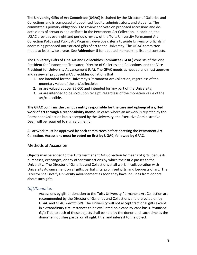The **University Gifts of Art Committee (UGAC)** is chaired by the Director of Galleries and Collections and is composed of appointed faculty, administrators, and students. The committee's primary obligation is to review and vote on proposed accessions and deaccessions of artworks and artifacts in the Permanent Art Collection. In addition, the UGAC provides oversight and periodic review of the Tufts University Permanent Art Collection Policy and Public Art Program, develops criteria to guide University officials in addressing proposed unrestricted gifts of art to the University. The UGAC committee meets at least twice a year. See **Addendum 5** for updated membership list and contacts.

The **University Gifts of Fine Art and Collectibles Committee (GFAC)** consists of the Vice President for Finance and Treasurer, Director of Galleries and Collections, and the Vice President for University Advancement (UA). The GFAC meets as needed and must approve and review all proposed art/collectibles donations that:

- 1. are intended for the University's Permanent Art Collection, regardless of the monetary value of the art/collectible;
- 2. or are valued at over \$5,000 and intended for any part of the University;
- 3. or are intended to be sold upon receipt, regardless of the monetary value of the art/collectible.

**The GFAC confirms the campus entity responsible for the care and upkeep of a gifted work of art through a responsibility memo.** In cases where an artwork is rejected by the Permanent Collection but is accepted by the University, the Executive Administrative Dean will be required to sign said memo.

All artwork must be approved by both committees before entering the Permanent Art Collection. **Accessions must be voted on first by UGAC, followed by GFAC.**

# Methods of Accession

Objects may be added to the Tufts Permanent Art Collection by means of gifts, bequests, purchases, exchanges, or any other transactions by which their title passes to the University. The Director of Galleries and Collections shall work in collaboration with University Advancement on all gifts, partial gifts, promised gifts, and bequests of art. The Director shall notify University Advancement as soon they have inquiries from donors about such gifts.

# *Gift/Donation*

Accessions by gift or donation to the Tufts University Permanent Art Collection are recommended by the Director of Galleries and Collections and are voted on by UGAC and GFAC. *Partial Gift*: The University will not accept fractional gifts except in extraordinary circumstances to be evaluated on a case-by-case basis. *Promised Gift*: Title to each of these objects shall be held by the donor until such time as the donor relinquishes partial or all right, title, and interest to the object.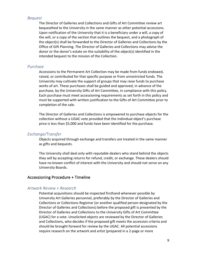### *Bequest*

The Director of Galleries and Collections and Gifts of Art Committee review art bequeathed to the University in the same manner as other potential accessions. Upon notification of the University that it is a beneficiary under a will, a copy of the will, or a copy of the section that outlines the bequest, and a photograph of the object(s) shall be forwarded to the Director of Galleries and Collections by the Office of Gift Planning. The Director of Galleries and Collections may advise the donor or the donor's estate on the suitability of the object(s) identified in the intended bequest to the mission of the Collection.

#### *Purchase*

Accessions to the Permanent Art Collection may be made from funds endowed, raised, or contributed for that specific purpose or from unrestricted funds. The University may cultivate the support of groups that may raise funds to purchase works of art. These purchases shall be guided and approved, in advance of the purchase, by the University Gifts of Art Committee, in compliance with this policy. Each purchase must meet accessioning requirements as set forth in this policy and must be supported with written justification to the Gifts of Art Committee prior to completion of the sale.

The Director of Galleries and Collections is empowered to purchase objects for the collection without a UGAC vote provided that the individual object's purchase price is less than \$5,000 and funds have been identified for the purchase.

#### *Exchange/Transfer*

Objects acquired through exchange and transfers are treated in the same manner as gifts and bequests.

The University shall deal only with reputable dealers who stand behind the objects they sell by accepting returns for refund, credit, or exchange. These dealers should have no known conflict of interest with the University and should not serve on any University Boards.

### Accessioning Procedure + Timeline

### *Artwork Review + Research*

Potential acquisitions should be inspected firsthand whenever possible by University Art Galleries personnel, preferably by the Director of Galleries and Collections or Collections Registrar (or another qualified person designated by the Director of Galleries and Collections) before the proposed gift is presented by the Director of Galleries and Collections to the University Gifts of Art Committee (UGAC) for a vote. Unsolicited objects are reviewed by the Director of Galleries and Collections, who decides if the proposed gift meets the accession criteria and should be brought forward for review by the UGAC. All potential accessions require research on the artwork and artist (prepared in a 2-page or more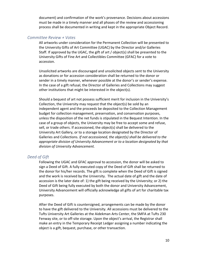document) and confirmation of the work's provenance. Decisions about accessions must be made in a timely manner and all phases of the review and accessioning process shall be documented in writing and kept in the appropriate Object Record.

### *Committee Review + Votes*

All artworks under consideration for the Permanent Collection will be presented to the University Gifts of Art Committee (UGAC) by the Director and/or Galleries Staff. If approved by the UGAC, the gift of art / object(s) shall be presented to the University Gifts of Fine Art and Collectibles Committee (GFAC) for a vote to accession.

Unsolicited artworks are discouraged and unsolicited objects sent to the University as donations or for accession consideration shall be returned to the donor or sender in a timely manner, whenever possible at the donor's or sender's expense. In the case of a gift refusal, the Director of Galleries and Collections may suggest other institutions that might be interested in the object(s).

Should a bequest of art not possess sufficient merit for inclusion in the University's Collection, the University may request that the object(s) be sold by an independent agent and the proceeds be deposited to the Collection Management budget for collection management, preservation, and conservation purposes, unless the disposition of the net funds is stipulated in the Bequest Intention. In the case of a group of objects, the University may be free to accept some and refuse, sell, or trade others. If accessioned, the object(s) shall be delivered to the University Art Gallery, or to a storage location designated by the Director of Galleries and Collections. *If not accessioned, the object(s) shall be delivered to the appropriate division of University Advancement or to a location designated by that division of University Advancement.*

### *Deed of Gift*

Following the UGAC and GFAC approval to accession, the donor will be asked to sign a Deed of Gift. A fully executed copy of the Deed of Gift shall be returned to the donor for his/her records. The gift is complete when the Deed of Gift is signed and the work is received by the University. The actual date of gift and the date of accession is the later date of: 1) the gift being received by the University; or 2) the Deed of Gift being fully executed by both the donor and University Advancement, University Advancement will officially acknowledge all gifts of art for charitable tax purposes.

After the Deed of Gift is countersigned, arrangements can be made by the donor to have the gift delivered to the University. All accessions must be delivered to the Tufts University Art Galleries at the Aidekman Arts Center, the SMFA at Tufts 230 Fenway site, or to off-site storage. Upon the object's arrival, the Registrar shall make an entry in the Temporary Receipt Ledger assigning a number indicating the object is a gift, bequest, purchase, or other transaction.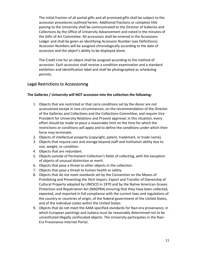The initial fraction of all partial gifts and all promised gifts shall be subject to the accession procedures outlined herein. Additional fractions or complete title passing to the University shall be communicated to the Director of Galleries and Collections by the Office of University Advancement and noted in the minutes of the Gifts of Art Committee. All accessions shall be entered in the Accessions Ledger and shall be given an identifying Accession Number (see Definitions). Accession Numbers will be assigned chronologically according to the date of accession and the object's ability to be displayed alone.

The Credit Line for an object shall be assigned according to the method of accession. Each accession shall receive a condition examination and a standard exhibition and identification label and shall be photographed as scheduling permits.

### Legal Restrictions to Accessioning

### **The Galleries / University will NOT accession into the collection the following:**

- 1. Objects that are restricted or that carry conditions set by the donor are not accessioned except in rare circumstances, on the recommendation of the Director of the Galleries and Collections and the Collections Committee, and require Vice President for University Relations and Provost approval; in this situation, every effort should be made to place a reasonable limit on the time for which the restrictions or conditions will apply and to define the conditions under which their force may terminate.
- 2. Objects of intellectual property (copyright, patent, trademark, or trade name).
- 3. Objects that require care and storage beyond staff and institution ability due to size, weight, or condition.
- 4. Objects that are redundant.
- 5. Objects outside of Permanent Collection's fields of collecting, with the exception of objects of unusual distinction or merit.
- 6. Objects that pose a threat to other objects in the collection.
- 7. Objects that pose a threat to human health or safety.
- 8. Objects that do not meet standards set by the Convention on the Means of Prohibiting and Preventing the Illicit Import, Export and Transfer of Ownership of Cultural Property adopted by UNESCO in 1970 and by the Native American Graves Protection and Repatriation Act (NAGPRA) ensuring that they have been collected, exported, and imported in full compliance with the current laws and regulations of the country or countries of origin, of the federal government of the United States, and of the individual states within the United States.
- 9. Objects that do not meet the AAM-specified standards for Nazi-era provenance, in which European paintings and Judaica must be reasonably determined not to be unrestituted illegally confiscated objects. The University participates in the Nazi-Era Provenance Internet Portal.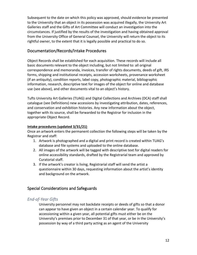Subsequent to the date on which this policy was approved, should evidence be presented to the University that an object in its possession was acquired illegally, the University Art Galleries staff and the Gifts of Art Committee will conduct an investigation into the circumstances. If justified by the results of the investigation and having obtained approval from the University Office of General Counsel, the University will return the object to its rightful owner, to the extent that it is legally possible and practical to do so.

# Documentation/Records/Intake Procedures

Object Records shall be established for each acquisition. These records will include all basic documents relevant to the object including, but not limited to: all original correspondence and memoranda, invoices, transfer of rights documents, deeds of gift, IRS forms, shipping and institutional receipts, accession worksheets, provenance worksheet (if an antiquity), condition reports, label copy, photographic material, bibliographic information, research, descriptive text for images of the object for online and database use (see above), and other documents vital to an object's history.

Tufts University Art Galleries (TUAG) and Digital Collections and Archives (DCA) staff shall catalogue (see Definitions) new accessions by investigating attribution, dates, references, and conservation and exhibition histories. Any new information about the object, together with its source, shall be forwarded to the Registrar for inclusion in the appropriate Object Record.

### **Intake procedures (updated 3/31/21)**

Once an artwork enters the permanent collection the following steps will be taken by the Registrar and staff:

- 1. Artwork is photographed and a digital and print record is created within TUAG's database and file systems and uploaded to the online database.
- 2. All images of the artwork will be tagged with descriptive text for digital readers for online accessibility standards, drafted by the Registrarial team and approved by Curatorial staff.
- 3. If the artwork's creator is living, Registrarial staff will send the artist a questionnaire within 30 days, requesting information about the artist's identity and background on the artwork.

# Special Considerations and Safeguards

# *End-of-Year Gifts*

University personnel may not backdate receipts or deeds of gifts so that a donor can appear to have given an object in a certain calendar year. To qualify for accessioning within a given year, all potential gifts must either be on the University's premises prior to December 31 of that year, or be in the University's possession by way of a third party acting as an agent of the University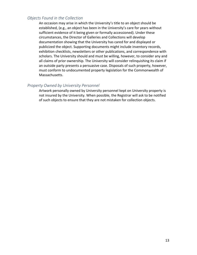### *Objects Found in the Collection*

An occasion may arise in which the University's title to an object should be established, (e.g., an object has been in the University's care for years without sufficient evidence of it being given or formally accessioned). Under these circumstances, the Director of Galleries and Collections will develop documentation showing that the University has cared for and displayed or publicized the object. Supporting documents might include inventory records, exhibition checklists, newsletters or other publications, and correspondence with scholars. The University should and must be willing, however, to consider any and all claims of prior ownership. The University will consider relinquishing its claim if an outside party presents a persuasive case. Disposals of such property, however, must conform to undocumented property legislation for the Commonwealth of Massachusetts.

### *Property Owned by University Personnel*

Artwork personally owned by University personnel kept on University property is not insured by the University. When possible, the Registrar will ask to be notified of such objects to ensure that they are not mistaken for collection objects.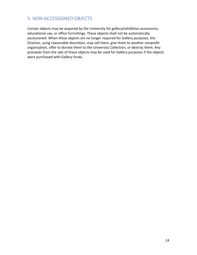# 5. NON-ACCESSIONED OBJECTS

Certain objects may be acquired by the University for gallery/exhibition accessories, educational use, or office furnishings. These objects shall not be automatically accessioned. When these objects are no longer required for Gallery purposes, the Director, using reasonable discretion, may sell them, give them to another nonprofit organization, offer to donate them to the University Collection, or destroy them. Any proceeds from the sale of these objects may be used for Gallery purposes if the objects were purchased with Gallery funds.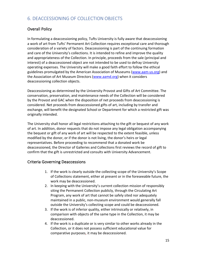# 6. DEACCESSIONING OF COLLECTION OBJECTS

# Overall Policy

In formulating a deaccessioning policy, Tufts University is fully aware that deaccessioning a work of art from Tufts' Permanent Art Collection requires exceptional care and thorough consideration of a variety of factors. Deaccessioning is part of the continuing formation and care of the University's collections. It is intended to refine and improve the quality and appropriateness of the Collection. In principle, proceeds from the sale (principal and interest) of a deaccessioned object are not intended to be used to defray University operating expenses. The University will make a good faith effort to follow the ethical guidelines promulgated by the American Association of Museums (www.aam-us.org) and the Association of Art Museum Directors (www.aamd.org) when it considers deaccessioning collection objects.

Deaccessioning as determined by the University Provost and Gifts of Art Committee. The conservation, preservation, and maintenance needs of the Collection will be considered by the Provost and GAC when the disposition of net proceeds from deaccessioning is considered. Net proceeds from deaccessioned gifts of art, including by transfer and exchange, will benefit the designated School or Department for which a restricted gift was originally intended.

The University shall honor all legal restrictions attaching to the gift or bequest of any work of art. In addition, donor requests that do not impose any legal obligation accompanying the bequest or gift of any work of art will be respected to the extent feasible, unless modified by the donor, or if the donor is not living, the donor's heirs or legal representatives. Before proceeding to recommend that a donated work be deaccessioned, the Director of Galleries and Collections first reviews the record of gift to confirm that the gift is unrestricted and consults with University Advancement.

### Criteria Governing Deaccessions

- 1. If the work is clearly outside the collecting scope of the University's Scope of Collections statement, either at present or in the foreseeable future, the work may be deaccessioned.
- 2. In keeping with the University's current collection mission of responsibly siting the Permanent Collection publicly, through the Circulating Art Program, any work of art that cannot be safely sited nor adequately maintained in a public, non-museum environment would generally fall outside the University's collecting scope and could be deaccessioned.
- 3. If the work is of inferior quality, either intrinsically or relatively, in comparison with objects of the same type in the Collection, it may be deaccessioned.
- 4. If the work is a duplicate or is very similar to other works already in the Collection, or it does not possess sufficient educational value for comparative purposes, it may be deaccessioned.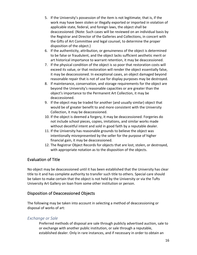- 5. If the University's possession of the item is not legitimate; that is, if the work may have been stolen or illegally exported or imported in violation of applicable state, federal, and foreign laws, the object shall be deaccessioned. (Note: Such cases will be reviewed on an individual basis by the Registrar and Director of the Galleries and Collections, in concert with the Gifts of Art Committee and legal counsel, to determine the proper disposition of the object.)
- 6. If the authenticity, attribution, or genuineness of the object is determined to be false or fraudulent, and the object lacks sufficient aesthetic merit or art historical importance to warrant retention, it may be deaccessioned.
- 7. If the physical condition of the object is so poor that restoration costs will exceed its value, or that restoration will render the object essentially false, it may be deaccessioned. In exceptional cases, an object damaged beyond reasonable repair that is not of use for display purposes may be destroyed.
- 8. If maintenance, conservation, and storage requirements for the object are beyond the University's reasonable capacities or are greater than the object's importance to the Permanent Art Collection, it may be deaccessioned.
- 9. If the object may be traded for another (and usually similar) object that would be of greater benefit to and more consistent with the University Collection, it may be deaccessioned.
- 10. If the object is deemed a forgery, it may be deaccessioned. Forgeries do not include school pieces, copies, imitations, and similar works made without deceitful intent and sold in good faith by a reputable dealer.
- 11. If the University has reasonable grounds to believe the object was intentionally misrepresented by the seller for the purpose of higher financial gain, it may be deaccessioned.
- 12. The Registrar Object Records for objects that are lost, stolen, or destroyed, with appropriate notation as to the disposition of the objects.

# Evaluation of Title

No object may be deaccessioned until it has been established that the University has clear title to it and has complete authority to transfer such title to others. Special care should be taken to make certain that the object is not held by the University or via the Tufts University Art Gallery on loan from some other institution or person.

### Disposition of Deaccessioned Objects

The following may be taken into account in selecting a method of deaccessioning or disposal of works of art:

### *Exchange or Sale*

Preferred methods of disposal are sale through publicly advertised auction, sale to or exchange with another public institution, or sale through a reputable, established dealer. Only in rare instances, and if necessary in order to obtain an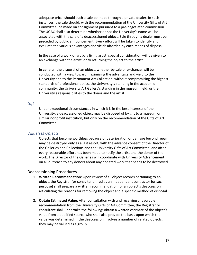adequate price, should such a sale be made through a private dealer. In such instances, the sale should, with the recommendation of the University Gifts of Art Committee, be made on consignment pursuant to a pre-negotiated commission. The UGAC shall also determine whether or not the University's name will be associated with the sale of a deaccessioned object. Sale through a dealer must be preceded by public announcement. Every effort will be taken to identify and evaluate the various advantages and yields afforded by each means of disposal.

In the case of a work of art by a living artist, special consideration will be given to an exchange with the artist, or to returning the object to the artist.

In general, the disposal of an object, whether by sale or exchange, will be conducted with a view toward maximizing the advantage and yield to the University and to the Permanent Art Collection, without compromising the highest standards of professional ethics, the University's standing in the academic community, the University Art Gallery's standing in the museum field, or the University's responsibilities to the donor and the artist.

### *Gift*

Under exceptional circumstances in which it is in the best interests of the University, a deaccessioned object may be disposed of by gift to a museum or similar nonprofit institution, but only on the recommendation of the Gifts of Art Committee.

### *Valueless Objects*

Objects that become worthless because of deterioration or damage beyond repair may be destroyed only as a last resort, with the advance consent of the Director of the Galleries and Collections and the University Gifts of Art Committee, and after every reasonable effort has been made to notify the artist and the donor of the work. The Director of the Galleries will coordinate with University Advancement on all outreach to any donors about any donated work that needs to be destroyed.

#### Deaccessioning Procedures

- 1. **Written Recommendation**: Upon review of all object records pertaining to an object, the Registrar (or consultant hired as an independent contractor for such purpose) shall prepare a written recommendation for an object's deaccession articulating the reasons for removing the object and a specific method of disposal.
- 2. **Obtain Estimated Value:** After consultation with and receiving a favorable recommendation from the University Gifts of Art Committee, the Registrar or consultant shall undertake the following: obtain a written estimate of the object's value from a qualified source who shall also provide the basis upon which the value was determined. If the deaccession involves a number of related objects, they may be valued as a group.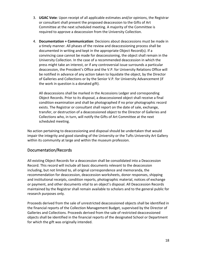- 3. **UGAC Vote**: Upon receipt of all applicable estimates and/or opinions, the Registrar or consultant shall present the proposed deaccession to the Gifts of Art Committee at the next scheduled meeting. A majority of the Committee is required to approve a deaccession from the University Collection.
- 4. **Documentation + Communication**: Decisions about deaccessions must be made in a timely manner. All phases of the review and deaccessioning process shall be documented in writing and kept in the appropriate Object Record(s). If a convincing case cannot be made for deaccessioning, the object shall remain in the University Collection. In the case of a recommended deaccession in which the press might take an interest, or if any controversial issue surrounds a particular deaccession, the President's Office and the V.P. for University Relations Office will be notified in advance of any action taken to liquidate the object, by the Director of Galleries and Collections or by the Senior V.P. for University Advancement (if the work in question is a donated gift).

All deaccessions shall be marked in the Accessions Ledger and corresponding Object Records. Prior to its disposal, a deaccessioned object shall receive a final condition examination and shall be photographed if no prior photographic record exists. The Registrar or consultant shall report on the date of sale, exchange, transfer, or destruction of a deaccessioned object to the Director of Galleries and Collections who, in turn, will notify the Gifts of Art Committee at the next scheduled meeting.

No action pertaining to deaccessioning and disposal should be undertaken that would impair the integrity and good standing of the University or the Tufts University Art Gallery within its community at large and within the museum profession.

# Documentation/Records

All existing Object Records for a deaccession shall be consolidated into a Deaccession Record. This record will include all basic documents relevant to the deaccession including, but not limited to, all original correspondence and memoranda, the recommendation for deaccession, deaccession worksheets, donor responses, shipping and institutional receipts, condition reports, photographic material, notices of exchange or payment, and other documents vital to an object's disposal. All Deaccession Records maintained by the Registrar shall remain available to scholars and to the general public for research purposes only.

Proceeds derived from the sale of unrestricted deaccessioned objects shall be identified in the financial reports of the Collection Management Budget, supervised by the Director of Galleries and Collections. Proceeds derived from the sale of restricted deaccessioned objects shall be identified in the financial reports of the designated School or Department for which the gift was originally intended.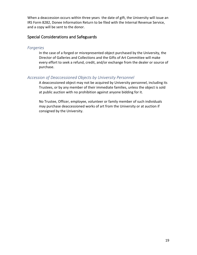When a deaccession occurs within three years the date of gift, the University will issue an IRS Form 8282, Donee Information Return to be filed with the Internal Revenue Service, and a copy will be sent to the donor.

### Special Considerations and Safeguards

### *Forgeries*

In the case of a forged or misrepresented object purchased by the University, the Director of Galleries and Collections and the Gifts of Art Committee will make every effort to seek a refund, credit, and/or exchange from the dealer or source of purchase.

# *Accession of Deaccessioned Objects by University Personnel*

A deaccessioned object may not be acquired by University personnel, including its Trustees, or by any member of their immediate families, unless the object is sold at public auction with no prohibition against anyone bidding for it.

No Trustee, Officer, employee, volunteer or family member of such individuals may purchase deaccessioned works of art from the University or at auction if consigned by the University.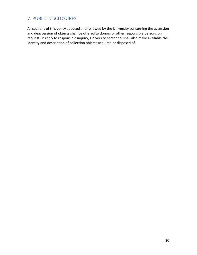# 7. PUBLIC DISCLOSURES

All sections of this policy adopted and followed by the University concerning the accession and deaccession of objects shall be offered to donors or other responsible persons on request. In reply to responsible inquiry, University personnel shall also make available the identity and description of collection objects acquired or disposed of.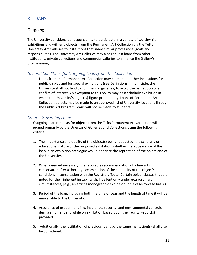# 8. LOANS

# Outgoing

The University considers it a responsibility to participate in a variety of worthwhile exhibitions and will lend objects from the Permanent Art Collection via the Tufts University Art Galleries to institutions that share similar professional goals and responsibilities. The University Art Galleries may also request loans from other institutions, private collections and commercial galleries to enhance the Gallery's programming.

### *General Conditions for Outgoing Loans from the Collection*

Loans from the Permanent Art Collection may be made to other institutions for public display and for special exhibitions (see Definitions). In principle, the University shall not lend to commercial galleries, to avoid the perception of a conflict of interest. An exception to this policy may be a scholarly exhibition in which the University's object(s) figure prominently. Loans of Permanent Art Collection objects may be made to an approved list of University locations through the Public Art Program Loans will not be made to students.

### *Criteria Governing Loans*

Outgoing loan requests for objects from the Tufts Permanent Art Collection will be judged primarily by the Director of Galleries and Collections using the following criteria:

- 1. The importance and quality of the object(s) being requested; the scholarly or educational nature of the proposed exhibition; whether the appearance of the loan in an exhibition catalogue would enhance the reputation of the object and of the University.
- 2. When deemed necessary, the favorable recommendation of a fine arts conservator after a thorough examination of the suitability of the object's condition, in consultation with the Registrar. (Note: Certain object classes that are noted for their inherent instability shall be lent only under extraordinary circumstances, [e.g., an artist's monographic exhibition] on a case-by-case basis.)
- 3. Period of the loan, including both the time of year and the length of time it will be unavailable to the University.
- 4. Assurance of proper handling, insurance, security, and environmental controls during shipment and while on exhibition based upon the Facility Report(s) provided.
- 5. Additionally, the facilitation of previous loans by the same institution(s) shall also be considered.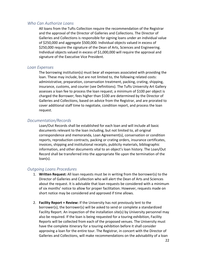### *Who Can Authorize Loans*

All loans from the Tufts Collection require the recommendation of the Registrar and the approval of the Director of Galleries and Collections. The Director of Galleries and Collections is responsible for signing loans under an individual value of \$250,000 and aggregate \$500,000. Individual objects valued in excess of \$250,000 require the signature of the Dean of Arts, Sciences and Engineering. Individual objects valued in excess of \$1,000,000 will require the approval and signature of the Executive Vice President.

### *Loan Expenses*

The borrowing institution(s) must bear all expenses associated with providing the loan. These may include, but are not limited to, the following related costs: administrative, preparation, conservation treatment, packing, crating, shipping, insurance, customs, and courier (see Definitions). The Tufts University Art Gallery assesses a loan fee to process the loan request; a minimum of \$100 per object is charged the Borrower; fees higher than \$100 are determined by the Director of Galleries and Collections, based on advice from the Registrar, and are prorated to cover additional staff time to negotiate, condition report, and process the loan request.

### *Documentation/Records*

Loan/Out Records shall be established for each loan and will include all basic documents relevant to the loan including, but not limited to, all original correspondence and memoranda, Loan Agreement(s), conservation or condition reports, reproduction contracts, packing or crating orders, insurance certificates, invoices, shipping and institutional receipts, publicity materials, bibliographic information, and other documents vital to an object's loan history. The Loan/Out Record shall be transferred into the appropriate file upon the termination of the loan(s).

### *Outgoing Loans Procedures*

- 1. **Written Request:** All loan requests must be in writing from the borrower(s) to the Director of Galleries and Collection who will alert the Dean of Arts and Sciences about the request. It is advisable that loan requests be considered with a minimum of six months' notice to allow for proper facilitation. However, requests made on short notice may be considered and approved if time allows.
- 2. **Facility Report + Review:** If the University has not previously lent to the borrower(s), the borrower(s) will be asked to send or complete a standardized Facility Report. An inspection of the installation site(s) by University personnel may also be required. If the loan is being requested for a touring exhibition, Facility Reports will be collected from each of the proposed venues. The University must have the complete itinerary for a touring exhibition before it shall consider approving a loan for the entire tour. The Registrar, in concert with the Director of Galleries and Collections, will make recommendations on the advisability of a loan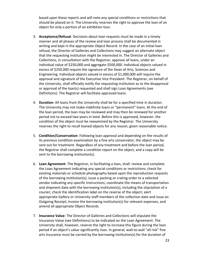based upon these reports and will note any special conditions or restrictions that should be placed on it. The University reserves the right to approve the loan of an object for only a portion of an exhibition tour.

- 3. **Acceptance/Refusal**: Decisions about loan requests must be made in a timely manner and all phases of the review and loan process shall be documented in writing and kept in the appropriate Object Record. In the case of an initial loan refusal, the Director of Galleries and Collections may suggest an alternate object that the requesting institution might be interested in. The Director of Galleries and Collections, in consultation with the Registrar, approve all loans, under an individual value of \$250,000 and aggregate \$500,000. Individual objects valued in excess of \$250,000 require the signature of the Dean of Arts, Sciences and Engineering. Individual objects valued in excess of \$1,000,000 will require the approval and signature of the Executive Vice President. The Registrar, on behalf of the University, shall officially notify the requesting institution as to the disapproval or approval of the loan(s) requested and shall sign Loan Agreements (see Definitions). The Registrar will facilitate approved loans.
- 4. **Duration**: All loans from the University shall be for a specified time in duration. The University may not make indefinite loans or "permanent" loans. At the end of the loan period, the loan may be reviewed and may then be renewed for another period not to exceed two years in total. Before this is approved, however, the condition of the object must be reexamined by the Registrar. The University reserves the right to recall loaned objects for any reason, given reasonable notice.
- 5. **Condition/Conservation**: Following loan approval and depending on the results of its previous condition examination by a fine arts conservator, the object may be sent out for treatment. Regardless of any treatment and before the loan period, the Registrar shall complete a condition report on the object, and a copy will be sent to the borrowing institution(s).
- 6. **Loan Agreement**: The Registrar, in facilitating a loan, shall: review and complete the Loan Agreement indicating any special conditions or restrictions; check for existing materials or schedule photography based upon the reproduction requests of the borrowing institution(s); issue a packing or crating order to a selected vendor indicating any specific instructions; coordinate the means of transportation and shipment date with the borrowing institution(s), including the stipulation of a courier; check the identification label on the reverse of the object; alert appropriate Gallery or University staff members of the collection date and issue an Outgoing Receipt; invoice the borrowing institution(s) for relevant expenses; and amend all appropriate Object Records.
- 7. **Insurance Value**: The Director of Galleries and Collections will stipulate the Insurance Value (see Definitions) to be indicated on the Loan Agreement. The University shall, however, reserve the right to increase this figure during the loan period if an object's value significantly rises. In general, wall-to-wall "all risk" fine arts insurance must be carried by the borrowing institution(s) for the duration of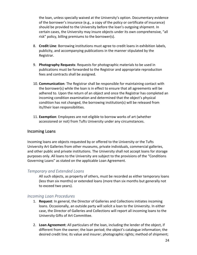the loan, unless specially waived at the University's option. Documentary evidence of the borrower's insurance (e.g., a copy of the policy or certificate of insurance) should be provided to the University before the loan's outgoing shipment. In certain cases, the University may insure objects under its own comprehensive, "all risk" policy, billing premiums to the borrower(s).

- 8. **Credit Line**: Borrowing institutions must agree to credit loans in exhibition labels, publicity, and accompanying publications in the manner stipulated by the Registrar.
- 9. **Photography Requests**: Requests for photographic materials to be used in publications must be forwarded to the Registrar and appropriate reproduction fees and contracts shall be assigned.
- 10. **Communication**: The Registrar shall be responsible for maintaining contact with the borrower(s) while the loan is in effect to ensure that all agreements will be adhered to. Upon the return of an object and once the Registrar has completed an incoming condition examination and determined that the object's physical condition has not changed, the borrowing institution(s) will be released from its/their loan responsibilities.
- 11. **Exemption**: Employees are not eligible to borrow works of art (whether accessioned or not) from Tufts University under any circumstances.

# Incoming Loans

Incoming loans are objects requested by or offered to the University or the Tufts University Art Galleries from other museums, private individuals, commercial galleries, and other public and private institutions. The University shall not accept loans for storage purposes only. All loans to the University are subject to the provisions of the "Conditions Governing Loans" as stated on the applicable Loan Agreement.

### *Temporary and Extended Loans*

All such objects, as property of others, must be recorded as either temporary loans (less than six months) or extended loans (more than six months but generally not to exceed two years).

### *Incoming Loan Procedures*

- 1. **Request**: In general, the Director of Galleries and Collections initiates incoming loans. Occasionally, an outside party will solicit a loan to the University. In either case, the Director of Galleries and Collections will report all incoming loans to the University Gifts of Art Committee.
- 2. **Loan Agreement**: All particulars of the loan, including the lender of the object, if different from the owner; the loan period; the object's catalogue information; the desired credit line; its value and insurer; photographic rights; method of shipment;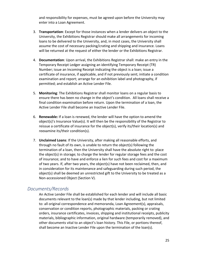and responsibility for expenses, must be agreed upon before the University may enter into a Loan Agreement.

- 3. **Transportation**: Except for those instances when a lender delivers an object to the University, the Exhibitions Registrar should make all arrangements for incoming loans to be delivered to the University, and, in most cases, the University shall assume the cost of necessary packing/crating and shipping and insurance. Loans will be returned at the request of either the lender or the Exhibitions Registrar.
- 4. **Documentation**: Upon arrival, the Exhibitions Registrar shall: make an entry in the Temporary Receipt Ledger assigning an identifying Temporary Receipt (TR) Number; issue an Incoming Receipt indicating the object is a loan; issue a certificate of insurance, if applicable, and if not previously sent; initiate a condition examination and report; arrange for an exhibition label and photography, if permitted; and establish an Active Lender File.
- 5. **Monitoring**: The Exhibitions Registrar shall monitor loans on a regular basis to ensure there has been no change in the object's condition. All loans shall receive a final condition examination before return. Upon the termination of a loan, the Active Lender File shall become an Inactive Lender File.
- 6. **Renewable:** If a loan is renewed, the lender will have the option to amend the object(s)'s Insurance Value(s). It will then be the responsibility of the Registrar to reissue a certificate of insurance for the object(s), verify its/their location(s) and reexamine its/their condition(s).
- 7. **Unclaimed Loans**: If the University, after making all reasonable efforts, and through no fault of its own, is unable to return the object(s) following the termination of a loan, then the University shall have the absolute right to: place the object(s) in storage; to charge the lender for regular storage fees and the cost of insurance; and to have and enforce a lien for such fees and cost for a maximum of two years. If, after two years, the object(s) have not been reclaimed, then, and in consideration for its maintenance and safeguarding during such period, the object(s) shall be deemed an unrestricted gift to the University to be treated as a Non-accessioned Object (Section V).

# *Documents/Records*

An Active Lender File shall be established for each lender and will include all basic documents relevant to the loan(s) made by that lender including, but not limited to: all original correspondence and memoranda, Loan Agreement(s), appraisals, conservation or condition reports, photographic materials, packing or crating orders, insurance certificates, invoices, shipping and institutional receipts, publicity materials, bibliographic information, original hardware (temporarily removed), and other documents vital to an object's loan history. This File, or portions thereof, shall become an Inactive Lender File upon the termination of the loan(s).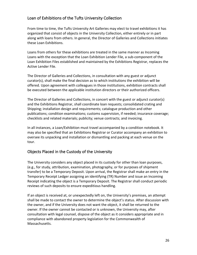# Loan of Exhibitions of the Tufts University Collection

From time to time, the Tufts University Art Galleries may elect to travel exhibitions it has organized that consist of objects in the University Collection, either entirely or in part along with loans from others. In general, the Director of Galleries and Collections initiates these Loan Exhibitions.

Loans from others for these exhibitions are treated in the same manner as Incoming Loans with the exception that the Loan Exhibition Lender File, a sub-component of the Loan Exhibition Files established and maintained by the Exhibitions Registrar, replaces the Active Lender File.

The Director of Galleries and Collections, in consultation with any guest or adjunct curator(s), shall make the final decision as to which institutions the exhibition will be offered. Upon agreement with colleagues in those institutions, exhibition contracts shall be executed between the applicable institution directors or their authorized officers.

The Director of Galleries and Collections, in concert with the guest or adjunct curator(s) and the Exhibitions Registrar, shall coordinate loan requests; consolidated crating and Shipping; installation design and requirements; catalogue production and other publications; condition examinations; customs supervision, if needed; insurance coverage; checklists and related materials; publicity; venue contracts; and invoicing.

In all instances, a Loan/Exhibition must travel accompanied by a condition notebook. It may also be specified that an Exhibitions Registrar or Curator accompany an exhibition to oversee its unpacking and installation or dismantling and packing at each venue on the tour.

# Objects Placed in the Custody of the University

The University considers any object placed in its custody for other than loan purposes, (e.g., for study, attribution, examination, photography, or for purposes of shipment transfer) to be a Temporary Deposit. Upon arrival, the Registrar shall make an entry in the Temporary Receipt Ledger assigning an identifying (TR) Number and issue an Incoming Receipt indicating the object is a Temporary Deposit. The Registrar shall conduct periodic reviews of such deposits to ensure expeditious handling.

If an object is received at, or unexpectedly left on, the University's premises, an attempt shall be made to contact the owner to determine the object's status. After discussion with the owner, and if the University does not want the object, it shall be returned to the owner. If the owner cannot be contacted or is unknown, the University may, after consultation with legal counsel, dispose of the object as it considers appropriate and in compliance with abandoned property legislation for the Commonwealth of Massachusetts.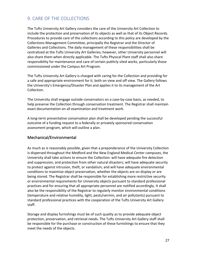# 9. CARE OF THE COLLECTIONS

The Tufts University Art Gallery considers the care of the University Art Collection to include the protection and preservation of its objects as well as that of its Object Records. Procedures to provide care of the collections according to this policy are developed by the Collections Management Committee, principally the Registrar and the Director of Galleries and Collections. The daily management of these responsibilities shall be centralized at the Tufts University Art Galleries; however, other University personnel will also share them when directly applicable. The Tufts Physical Plant staff shall also share responsibility for maintenance and care of certain publicly sited works, particularly those commissioned under the Campus Art Program.

The Tufts University Art Gallery is charged with caring for the Collection and providing for a safe and appropriate environment for it, both on view and off view. The Gallery follows the University's Emergency/Disaster Plan and applies it to its management of the Art Collection.

The University shall engage outside conservators on a case-by-case basis, as needed, to help preserve the Collection through conservation treatment. The Registrar shall maintain exact documentation on all examination and treatment work.

A long-term preventative conservation plan shall be developed pending the successful outcome of a funding request to a federally or privately sponsored conservation assessment program, which will outline a plan.

# Mechanical/Environmental

As much as is reasonably possible, given that a preponderance of the University Collection is dispersed throughout the Medford and the New England Medical Center campuses, the University shall take actions to ensure the Collection: will have adequate fire detection and suppression, and protection from other natural disasters; will have adequate security to protect against intrusion, theft, or vandalism; and will have adequate environmental conditions to maximize object preservation, whether the objects are on display or are being stored. The Registrar shall be responsible for establishing more restrictive security or environmental requirements for University objects pursuant to standard professional practices and for ensuring that all appropriate personnel are notified accordingly. It shall also be the responsibility of the Registrar to regularly monitor environmental conditions (temperature and relative humidity, light, pests/vermin, and air pollutants) pursuant to standard professional practices with the cooperation of the Tufts University Art Gallery staff.

Storage and display furnishings must be of such quality as to provide adequate object protection, preservation, and retrieval needs. The Tufts University Art Gallery staff shall be responsible for the purchase or construction of these furnishings to ensure that they meet the needs of the objects.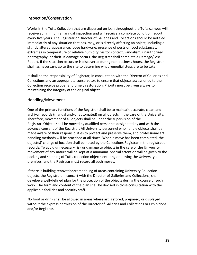# Inspection/Conservation

Works in the Tufts Collection that are dispersed on loan throughout the Tufts campus will receive at minimum an annual inspection and will receive a complete condition report every five years. The Registrar or Director of Galleries and Collections should be notified immediately of any situation that has, may, or is directly affecting an object, including a slightly altered appearance, loose hardware, presence of pests or food substances, extremes in temperature or relative humidity, visitor contact, vandalism, unauthorized photography, or theft. If damage occurs, the Registrar shall complete a Damage/Loss Report. If the situation occurs or is discovered during non-business hours, the Registrar shall, as necessary, go to the site to determine what remedial steps are to be taken.

It shall be the responsibility of Registrar, in consultation with the Director of Galleries and Collections and an appropriate conservator, to ensure that objects accessioned to the Collection receive proper and timely restoration. Priority must be given always to maintaining the integrity of the original object.

# Handling/Movement

One of the primary functions of the Registrar shall be to maintain accurate, clear, and archival records (manual and/or automated) on all objects in the care of the University. Therefore, movement of all objects shall be under the supervision of the Registrar. Objects shall be moved by qualified personnel designated by and with the advance consent of the Registrar. All University personnel who handle objects shall be made aware of their responsibilities to protect and preserve them, and professional art handling methods will be practiced at all times. When a move has been completed, the object(s)' change of location shall be noted by the Collections Registrar in the registration records. To avoid unnecessary risk or damage to objects in the care of the University, movement of any nature will be kept at a minimum. Special attention will be given to the packing and shipping of Tufts collection objects entering or leaving the University's premises, and the Registrar must record all such moves.

If there is building renovation/remodeling of areas containing University Collection objects, the Registrar, in concert with the Director of Galleries and Collections, shall develop a well-defined plan for the protection of the objects during the course of such work. The form and content of the plan shall be devised in close consultation with the applicable facilities and security staff.

No food or drink shall be allowed in areas where art is stored, prepared, or displayed without the express permission of the Director of Galleries and Collections or Exhibitions and/or Registrar.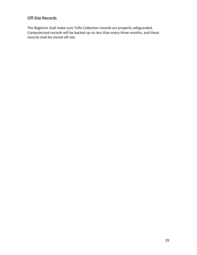# Off-Site Records

The Registrar shall make sure Tufts Collection records are properly safeguarded. Computerized records will be backed up no less than every three months, and these records shall be stored off site.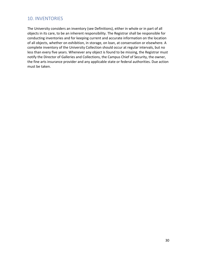# 10. INVENTORIES

The University considers an inventory (see Definitions), either in whole or in part of all objects in its care, to be an inherent responsibility. The Registrar shall be responsible for conducting inventories and for keeping current and accurate information on the location of all objects, whether on exhibition, in storage, on loan, at conservation or elsewhere. A complete inventory of the University Collection should occur at regular intervals, but no less than every five years. Whenever any object is found to be missing, the Registrar must notify the Director of Galleries and Collections, the Campus Chief of Security, the owner, the fine arts insurance provider and any applicable state or federal authorities. Due action must be taken.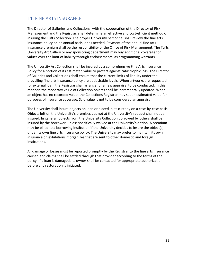# 11. FINE ARTS INSURANCE

The Director of Galleries and Collections, with the cooperation of the Director of Risk Management and the Registrar, shall determine an effective and cost-efficient method of insuring the Tufts collection. The proper University personnel shall review the fine arts insurance policy on an annual basis, or as needed. Payment of the annual fine arts insurance premium shall be the responsibility of the Office of Risk Management. The Tufts University Art Gallery or any sponsoring department may buy additional coverage for values over the limit of liability through endorsements, as programming warrants.

The University Art Collection shall be insured by a comprehensive Fine Arts Insurance Policy for a portion of its estimated value to protect against catastrophic loss. The Director of Galleries and Collections shall ensure that the current limits of liability under the prevailing fine arts insurance policy are at desirable levels. When artworks are requested for external loan, the Registrar shall arrange for a new appraisal to be conducted. In this manner, the monetary value of Collection objects shall be incrementally updated. When an object has no recorded value, the Collections Registrar may set an estimated value for purposes of insurance coverage. Said value is not to be considered an appraisal.

The University shall insure objects on loan or placed in its custody on a case-by-case basis. Objects left on the University's premises but not at the University's request shall not be insured. In general, objects from the University Collection borrowed by others shall be insured by the borrower, unless specifically waived at the University's option. A premium may be billed to a borrowing institution if the University decides to insure the object(s) under its own fine arts insurance policy. The University may prefer to maintain its own insurance on exhibitions it organizes that are sent to other domestic and foreign institutions.

All damage or losses must be reported promptly by the Registrar to the fine arts insurance carrier, and claims shall be settled through that provider according to the terms of the policy. If a loan is damaged, its owner shall be contacted for appropriate authorization before any restoration is initiated.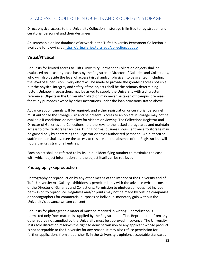# 12. ACCESS TO COLLECTION OBJECTS AND RECORDS IN STORAGE

Direct physical access to the University Collection in storage is limited to registration and curatorial personnel and their designees.

An searchable online database of artwork in the Tufts University Permanent Collection is available for viewing at https://artgalleries.tufts.edu/collection/about/.

# Visual/Physical

Requests for limited access to Tufts University Permanent Collection objects shall be evaluated on a case-by- case basis by the Registrar or Director of Galleries and Collections, who will also decide the level of access (visual and/or physical) to be granted, including the level of supervision. Every effort will be made to provide the greatest access possible, but the physical integrity and safety of the objects shall be the primary determining factor. Unknown researchers may be asked to supply the University with a character reference. Objects in the University Collection may never be taken off campus premises for study purposes except by other institutions under the loan provisions stated above.

Advance appointments will be required, and either registration or curatorial personnel must authorize the storage visit and be present. Access to an object in storage may not be available if conditions do not allow for visitors or viewing. The Collections Registrar and Director of Galleries and Collections hold the keys to the locked storage area and maintain access to off-site storage facilities. During normal business hours, entrance to storage may be gained only by contacting the Registrar or other authorized personnel. An authorized staff member shall oversee the access to this area in the absence of the Registrar but will notify the Registrar of all entries.

Each object shall be referred to by its unique identifying number to maximize the ease with which object information and the object itself can be retrieved.

### Photography/Reproduction

Photography or reproduction by any other means of the interior of the University and of Tufts University Art Gallery exhibitions is permitted only with the advance written consent of the Director of Galleries and Collections. Permission to photograph does not include permission to reproduce. Negatives and/or prints may not be made by outside companies or photographers for commercial purposes or individual monetary gain without the University's advance written consent.

Requests for photographic material must be received in writing. Reproduction is permitted only from materials supplied by the Registration office. Reproduction from any other source not supplied by the University must be approved in advance. The University in its sole discretion reserves the right to deny permission to any applicant whose product is not acceptable to the University for any reason. It may also refuse permission for further applications from a publisher if, in the University's opinion, acceptable standards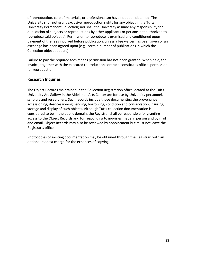of reproduction, care of materials, or professionalism have not been obtained. The University shall not grant exclusive reproduction rights for any object in the Tufts University Permanent Collection; nor shall the University assume any responsibility for duplication of subjects or reproductions by other applicants or persons not authorized to reproduce said object(s). Permission to reproduce is premised and conditioned upon payment of the fees involved before publication, unless a fee waiver has been given or an exchange has been agreed upon (e.g., certain number of publications in which the Collection object appears).

Failure to pay the required fees means permission has not been granted. When paid, the invoice, together with the executed reproduction contract, constitutes official permission for reproduction.

# Research Inquiries

The Object Records maintained in the Collection Registration office located at the Tufts University Art Gallery in the Aidekman Arts Center are for use by University personnel, scholars and researchers. Such records include those documenting the provenance, accessioning, deaccessioning, lending, borrowing, condition and conservation, insuring, storage and display of such objects. Although Tufts collection documentation is considered to be in the public domain, the Registrar shall be responsible for granting access to the Object Records and for responding to inquiries made in person and by mail and email. Object Records may also be reviewed by appointment but must not leave the Registrar's office.

Photocopies of existing documentation may be obtained through the Registrar, with an optional modest charge for the expenses of copying.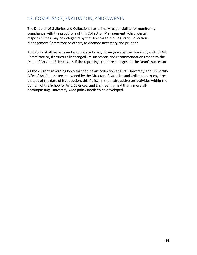# 13. COMPLIANCE, EVALUATION, AND CAVEATS

The Director of Galleries and Collections has primary responsibility for monitoring compliance with the provisions of this Collection Management Policy. Certain responsibilities may be delegated by the Director to the Registrar, Collections Management Committee or others, as deemed necessary and prudent.

This Policy shall be reviewed and updated every three years by the University Gifts of Art Committee or, if structurally changed, its successor, and recommendations made to the Dean of Arts and Sciences, or, if the reporting structure changes, to the Dean's successor.

As the current governing body for the fine art collection at Tufts University, the University Gifts of Art Committee, convened by the Director of Galleries and Collections, recognizes that, as of the date of its adoption, this Policy, in the main, addresses activities within the domain of the School of Arts, Sciences, and Engineering, and that a more allencompassing, University-wide policy needs to be developed.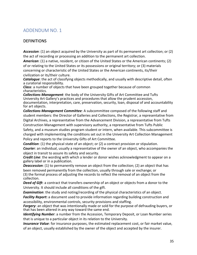# ADDENDUM NO. 1

# **DEFINITIONS**

*Accession*: (1) an object acquired by the University as part of its permanent art collection; or (2) the act of recording or processing an addition to the permanent art collection.

*American*: (1) a native, resident, or citizen of the United States or the American continents; (2) of or relating to the United States or its possessions or original territory; or (3) materials concerning or characteristic of the United States or the American continents, its/their civilization or its/their culture.

*Catalogue*: the act of classifying objects methodically, and usually with descriptive detail, often a curatorial responsibility.

*Class*: a number of objects that have been grouped together because of common characteristics.

*Collections Management*: the body of the University Gifts of Art Committee and Tufts University Art Gallery's practices and procedures that allow the prudent accession, documentation, interpretation, care, preservation, security, loan, disposal of and accountability for art objects.

*Collections Management Committee:* A subcommittee composed of the following staff and student members: the Director of Galleries and Collections, the Registrar, a representative from Digital Archives, a representative from the Advancement Division, a representative from Tufts Construction Management with supervisory authority, a representative from Tufts Public Safety, and a museum studies program student or intern, when available. This subcommittee is charged with implementing the conditions set out in the University Art Collection Management Policy and reports to the University Gifts of Art Committee.

*Condition*: (1) the physical state of an object; or (2) a contract provision or stipulation.

*Courie***r**: an individual, usually a representative of the owner of an object, who accompanies the object in transit to assure its safety and security.

*Credit Line*: the wording with which a lender or donor wishes acknowledgment to appear on a gallery label or in a publication.

*Deaccession*: (1) to permanently remove an object from the collection; (2) an object that has been removed permanently from the collection, usually through sale or exchange; or (3) the formal process of adjusting the records to reflect the removal of an object from the collection.

*Deed of Gift*: a contract that transfers ownership of an object or objects from a donor to the University. It should include all conditions of the gift.

*Examination*: the study and noting/recording of the physical characteristics of an object.

*Facility Report***:** a document used to provide information regarding building construction and accessibility, environmental controls, security provisions and staffing.

*Forgery*: an object that was intentionally made or sold for the purpose of defrauding buyers, or that has been altered in any way toward the same end.

*Identifying Number*: a number from the Accession, Temporary Deposit, or Loan Number series that is unique to a particular object in its relation to the University.

*Insurance Value*: for insurance purposes, the estimated replacement cost, or fair market value, of an object, usually established by the owner of the object and accepted by the insurer.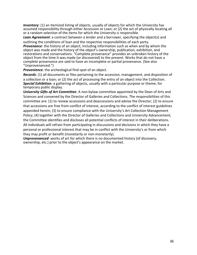*Inventory*: (1) an itemized listing of objects, usually of objects for which the University has assumed responsibility through either Accession or Loan; or (2) the act of physically locating all or a random selection of the items for which the University is responsible.

*Loan Agreement*: a contract between a lender and a borrower, specifying the object(s) and outlining the conditions of loan and the respective responsibilities of each party. *Provenance*: the history of an object, including information such as when and by whom the object was made and the history of the object's ownership, publication, exhibition, and restorations and conservations. "Complete provenance" provides an unbroken history of the object from the time it was made (or discovered) to the present. Works that do not have a complete provenance are said to have an incomplete or partial provenance. (See also "Unprovenanced.")

*Provenience*: the archeological find-spot of an object.

*Records*: (1) all documents or files pertaining to the accession, management, and disposition of a collection or a loan; or (2) the act of processing the entry of an object into the Collection. *Special Exhibition*: a gathering of objects, usually with a particular purpose or theme, for temporary public display.

*University Gifts of Art Committee*: A non-bylaw committee appointed by the Dean of Arts and Sciences and convened by the Director of Galleries and Collections. The responsibilities of this committee are: (1) to review accessions and deaccessions and advise the Director; (2) to ensure that accessions are free from conflict of interest, according to the conflict of interest guidelines appended herein; (3) to ensure compliance with the University's Art Collection Management Policy; (4) together with the Director of Galleries and Collections and University Advancement, the Committee identifies and discloses all potential conflicts of interest in their deliberations. All individuals will refrain from participating in discussions and decisions in which they have a personal or professional interest that may be in conflict with the University's or from which they may profit or benefit (monetarily or non-monetarily).

*Unprovenanced*: works of art for which there is no documented history (of discovery, ownership, etc.) prior to the object's appearance on the market.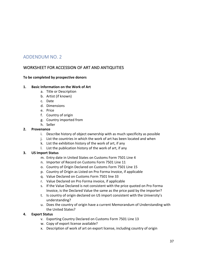# ADDENDUM NO. 2

# WORKSHEET FOR ACCESSION OF ART AND ANTIQUITIES

### **To be completed by prospective donors**

### **1. Basic Information on the Work of Art**

- a. Title or Description
- b. Artist (if known)
- c. Date
- d. Dimensions
- e. Price
- f. Country of origin
- g. Country imported from
- h. Seller

### **2. Provenance**

- i. Describe history of object ownership with as much specificity as possible
- j. List the countries in which the work of art has been located and when
- k. List the exhibition history of the work of art, if any
- l. List the publication history of the work of art, if any

### **3. US Import Status**

- m. Entry date in United States on Customs Form 7501 Line 4
- n. Importer of Record on Customs Form 7501 Line 11
- o. Country of Origin Declared on Customs Form 7501 Line 15
- p. Country of Origin as Listed on Pro Forma Invoice, if applicable
- q. Value Declared on Customs Form 7501 line 33
- r. Value Declared on Pro Forma invoice, if applicable
- s. If the Value Declared is not consistent with the price quoted on Pro Forma Invoice, is the Declared Value the same as the price paid by the importer?
- t. Is country of origin declared on US import consistent with the University's understanding?
- u. Does the country of origin have a current Memorandum of Understanding with the United States?

### **4. Export Status**

- v. Exporting Country Declared on Customs Form 7501 Line 13
- w. Copy of export license available?
- x. Description of work of art on export license, including country of origin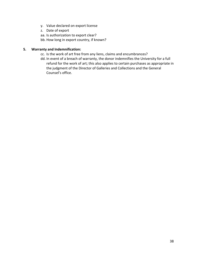- y. Value declared on export license
- z. Date of export
- aa. Is authorization to export clear?
- bb. How long in export country, if known?

### **5. Warranty and Indemnification:**

- cc. Is the work of art free from any liens, claims and encumbrances?
- dd. In event of a breach of warranty, the donor indemnifies the University for a full refund for the work of art; this also applies to certain purchases as appropriate in the judgment of the Director of Galleries and Collections and the General Counsel's office.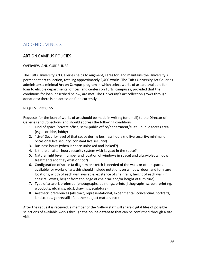# ADDENDUM NO. 3

# ART ON CAMPUS POLICIES

### OVERVIEW AND GUIDELINES

The Tufts University Art Galleries helps to augment, cares for, and maintains the University's permanent art collection, totaling approximately 2,400 works. The Tufts University Art Galleries administers a minimal **Art on Campus** program in which select works of art are available for loan to eligible departments, offices, and centers on Tufts' campuses, provided that the conditions for loan, described below, are met. The University's art collection grows through donations; there is no accession fund currently.

### REQUEST PROCESS

Requests for the loan of works of art should be made in writing (or email) to the Director of Galleries and Collections and should address the following conditions:

- 1. Kind of space (private office, semi-public office/department/suite), public access area (e.g., corridor, lobby)
- 2. "Live" Security level of that space during business hours (no live security; minimal or occasional live security; constant live security)
- 3. Business hours (when is space unlocked and locked?)
- 4. Is there an after-hours security system with keypad in the space?
- 5. Natural light level (number and location of windows in space) and ultraviolet window treatments (do they exist or not?)
- 6. Configuration of space (a diagram or sketch is needed of the walls or other spaces available for works of art; this should include notations on window, door, and furniture locations; width of each wall available; existence of chair rails; height of each wall (if chair rail exists, height from top edge of chair rail and/or height of furniture)
- 7. Type of artwork preferred (photographs, paintings, prints [lithographs, screen- printing, woodcuts, etchings, etc.], drawings, sculpture)
- 8. Aesthetic preferences (abstract, representational, experimental, conceptual, portraits, landscapes, genre/still life, other subject matter, etc.)

After the request is received, a member of the Gallery staff will share digital files of possible selections of available works through **the online database** that can be confirmed through a site visit.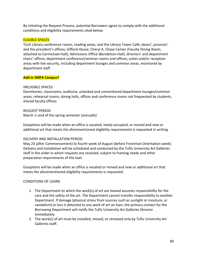By initiating the Request Process, potential Borrowers agree to comply with the additional conditions and eligibility requirements cited below.

### ELIGIBLE SPACES

Tisch Library conference rooms, reading areas, and the Library Tower Café; deans', provosts' and the president's offices; Gifford House; Cheryl A. Chase Center (Faculty Dining Room, attached to Carmichael Hall); Admissions Office (Bendetson Hall); directors' and department chairs' offices; department conference/seminar rooms and offices; suites and/or reception areas with live security, including department lounges and common areas, monitored by department staff.

### **Add in SMFA Campus?**

#### INELIGIBLE SPACES

Dormitories, classrooms, auditoria, unlocked and unmonitored department lounges/common areas, rehearsal rooms, dining halls, offices and conference rooms not frequented by students, shared faculty offices

#### REQUEST PERIOD

March 1–end of the spring semester (annually)

Exceptions will be made when an office is vacated, newly occupied, or moved and new or additional art that meets the aforementioned eligibility requirements is requested in writing.

#### DELIVERY AND INSTALLATION PERIOD

May 23 (after Commencement) to fourth week of August (before Freshman Orientation week). Delivery and installation will be scheduled and conducted by the Tufts University Art Galleries staff in the order in which requests are received, subject to framing needs and other preparation requirements of the loan.

Exceptions will be made when an office is vacated or moved and new or additional art that meets the aforementioned eligibility requirements is requested.

#### CONDITIONS OF LOANS

- 1. The Department to which the work(s) of art are loaned assumes responsibility for the care and the safety of the art. The Department cannot transfer responsibility to another Department. If damage (physical stress from sources such as sunlight or moisture, or vandalism) or loss is detected to any work of art on loan, the primary contact for the Borrowing Department will notify the Tufts University Art Galleries Director immediately.
- 2. The work(s) of art must be installed, moved, or removed only by Tufts University Art Galleries staff.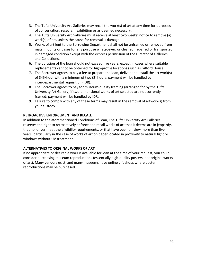- 3. The Tufts University Art Galleries may recall the work(s) of art at any time for purposes of conservation, research, exhibition or as deemed necessary.
- 4. The Tufts University Art Galleries must receive at least two weeks' notice to remove (a) work(s) of art, unless the cause for removal is damage.
- 5. Works of art lent to the Borrowing Department shall not be unframed or removed from mats, mounts or bases for any purpose whatsoever, or cleaned, repaired or transported in damaged condition except with the express permission of the Director of Galleries and Collections.
- 6. The duration of the loan should not exceed five years, except in cases where suitable replacements cannot be obtained for high-profile locations (such as Gifford House).
- 7. The Borrower agrees to pay a fee to prepare the loan, deliver and install the art work(s) of \$45/hour with a minimum of two (2) hours; payment will be handled by interdepartmental requisition (IDR).
- 8. The Borrower agrees to pay for museum-quality framing (arranged for by the Tufts University Art Gallery) if two-dimensional works of art selected are not currently framed; payment will be handled by IDR.
- 9. Failure to comply with any of these terms may result in the removal of artwork(s) from your custody.

### **RETROACTIVE ENFORCEMENT AND RECALL**

In addition to the aforementioned Conditions of Loan, The Tufts University Art Galleries reserves the right to retroactively enforce and recall works of art that it deems are in jeopardy, that no longer meet the eligibility requirements, or that have been on view more than five years, particularly in the case of works of art on paper located in proximity to natural light or windows without UV treatment.

### **ALTERNATIVES TO ORIGINAL WORKS OF ART**

If no appropriate or desirable work is available for loan at the time of your request, you could consider purchasing museum reproductions (essentially high-quality posters, not original works of art). Many vendors exist, and many museums have online gift shops where poster reproductions may be purchased.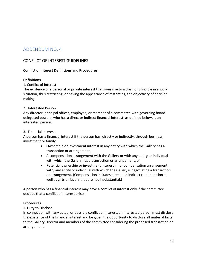# ADDENDUM NO. 4

# CONFLICT OF INTEREST GUIDELINES

### **Conflict of Interest Definitions and Procedures**

#### **Definitions**

1. Conflict of Interest

The existence of a personal or private interest that gives rise to a clash of principle in a work situation, thus restricting, or having the appearance of restricting, the objectivity of decision making.

#### 2. Interested Person

Any director, principal officer, employee, or member of a committee with governing board delegated powers, who has a direct or indirect financial interest, as defined below, is an interested person.

#### 3. Financial Interest

A person has a financial interest if the person has, directly or indirectly, through business, investment or family:

- Ownership or investment interest in any entity with which the Gallery has a transaction or arrangement,
- A compensation arrangement with the Gallery or with any entity or individual with which the Gallery has a transaction or arrangement, or
- Potential ownership or investment interest in, or compensation arrangement with, any entity or individual with which the Gallery is negotiating a transaction or arrangement. (Compensation includes direct and indirect remuneration as well as gifts or favors that are not insubstantial.)

A person who has a financial interest may have a conflict of interest only if the committee decides that a conflict of interest exists.

#### Procedures

1. Duty to Disclose

In connection with any actual or possible conflict of interest, an interested person must disclose the existence of the financial interest and be given the opportunity to disclose all material facts to the Gallery Director and members of the committee considering the proposed transaction or arrangement.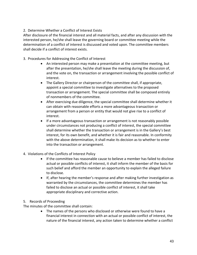### 2. Determine Whether a Conflict of Interest Exists

After disclosure of the financial interest and all material facts, and after any discussion with the interested person, he/she shall leave the governing board or committee meeting while the determination of a conflict of interest is discussed and voted upon. The committee members shall decide if a conflict of interest exists.

- 3. Procedures for Addressing the Conflict of Interest
	- An interested person may make a presentation at the committee meeting, but after the presentation, he/she shall leave the meeting during the discussion of, and the vote on, the transaction or arrangement involving the possible conflict of interest.
	- The Gallery Director or chairperson of the committee shall, if appropriate, appoint a special committee to investigate alternatives to the proposed transaction or arrangement. The special committee shall be composed entirely of nonmembers of the committee.
	- After exercising due diligence, the special committee shall determine whether it can obtain with reasonable efforts a more advantageous transaction or arrangement from a person or entity that would not give rise to a conflict of interest.
	- If a more advantageous transaction or arrangement is not reasonably possible under circumstances not producing a conflict of interest, the special committee shall determine whether the transaction or arrangement is in the Gallery's best interest, for its own benefit, and whether it is fair and reasonable. In conformity with the above determination, it shall make its decision as to whether to enter into the transaction or arrangement.
- 4. Violations of the Conflicts of Interest Policy
	- If the committee has reasonable cause to believe a member has failed to disclose actual or possible conflicts of interest, it shall inform the member of the basis for such belief and afford the member an opportunity to explain the alleged failure to disclose.
	- If, after hearing the member's response and after making further investigation as warranted by the circumstances, the committee determines the member has failed to disclose an actual or possible conflict of interest, it shall take appropriate disciplinary and corrective action.
- 5. Records of Proceeding
- The minutes of the committee shall contain:
	- The names of the persons who disclosed or otherwise were found to have a financial interest in connection with an actual or possible conflict of interest, the nature of the financial interest, any action taken to determine whether a conflict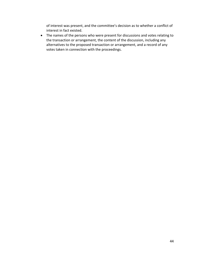of interest was present, and the committee's decision as to whether a conflict of interest in fact existed.

• The names of the persons who were present for discussions and votes relating to the transaction or arrangement, the content of the discussion, including any alternatives to the proposed transaction or arrangement, and a record of any votes taken in connection with the proceedings.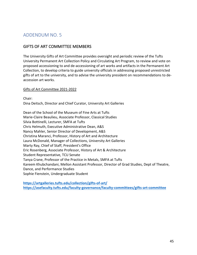# ADDENDUM NO. 5

# GIFTS OF ART COMMITTEE MEMBERS

The University Gifts of Art Committee provides oversight and periodic review of the Tufts University Permanent Art Collection Policy and Circulating Art Program, to review and vote on proposed accessioning to and de-accessioning of art works and artifacts in the Permanent Art Collection, to develop criteria to guide university officials in addressing proposed unrestricted gifts of art to the university, and to advise the university president on recommendations to deaccession art works.

### Gifts of Art Committee 2021-2022

Chair: Dina Deitsch, Director and Chief Curator, University Art Galleries

Dean of the School of the Museum of Fine Arts at Tufts Marie-Claire Beaulieu, Associate Professor, Classical Studies Silvia Bottinelli, Lecturer, SMFA at Tufts Chris Helmuth, Executive Administrative Dean, A&S Nancy Mahler, Senior Director of Development, A&S Christina Maranci, Professor, History of Art and Architecture Laura McDonald, Manager of Collections, University Art Galleries Marty Ray, Chief of Staff, President's Office Eric Rosenberg, Associate Professor, History of Art & Architecture Student Representative, TCU Senate Tanya Crane, Professor of the Practice in Metals, SMFA at Tufts Kareem Khubchandani, Mellon Assistant Professor, Director of Grad Studies, Dept of Theatre, Dance, and Performance Studies Sophie Fienstein, Undergraduate Student

**https://artgalleries.tufts.edu/collection/gifts-of-art/ https://asefaculty.tufts.edu/faculty-governance/faculty-committees/gifts-art-committee**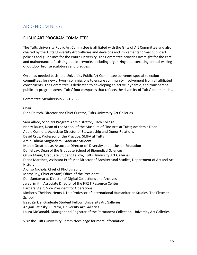# ADDENDUM NO. 6

# PUBLIC ART PROGRAM COMMITTEE

The Tufts University Public Art Committee is affiliated with the Gifts of Art Committee and also chaired by the Tufts University Art Galleries and develops and implements formal public art policies and guidelines for the entire university. The Committee provides oversight for the care and maintenance of existing public artworks, including organizing and executing annual waxing of outdoor bronze sculptures and plaques.

On an as-needed basis, the University Public Art Committee convenes special selection committees for new artwork commissions to ensure community involvement from all affiliated constituents. The Committee is dedicated to developing an active, dynamic, and transparent public art program across Tufts' four campuses that reflects the diversity of Tufts' communities.

Committee Membership 2021-2022

Chair

Dina Deitsch, Director and Chief Curator, Tufts University Art Galleries

Sara Allred, Scholars Program Administrator, Tisch College Nancy Bauer, Dean of the School of the Museum of Fine Arts at Tufts; Academic Dean Abbie Connors, Associate Director of Stewardship and Donor Relations David Cruz, Professor of the Practice, SMFA at Tufts Amin Fahimi Moghadam, Graduate Student Maren Greathouse, Associate Director of Diversity and Inclusion Education Daniel Jay, Dean of the Graduate School of Biomedical Sciences Olivia Mann, Graduate Student Fellow, Tufts University Art Galleries Diana Martinez, Assistant Professor Director of Architectural Studies, Department of Art and Art History Alonso Nichols, Chief of Photography Marty Ray, Chief of Staff, Office of the President Dan Santamaria, Director of Digital Collections and Archives Jared Smith, Associate Director of the FIRST Resource Center Barbara Stein, Vice President for Operations Kimberly Theidon, Henry J. Leir Professor of International Humanitarian Studies, The Fletcher School Isaac Zerkle, Graduate Student Fellow, University Art Galleries Abigail Satinsky, Curator, University Art Galleries Laura McDonald, Manager and Registrar of the Permanent Collection, University Art Galleries

Visit the Tufts University Committees page for more information.